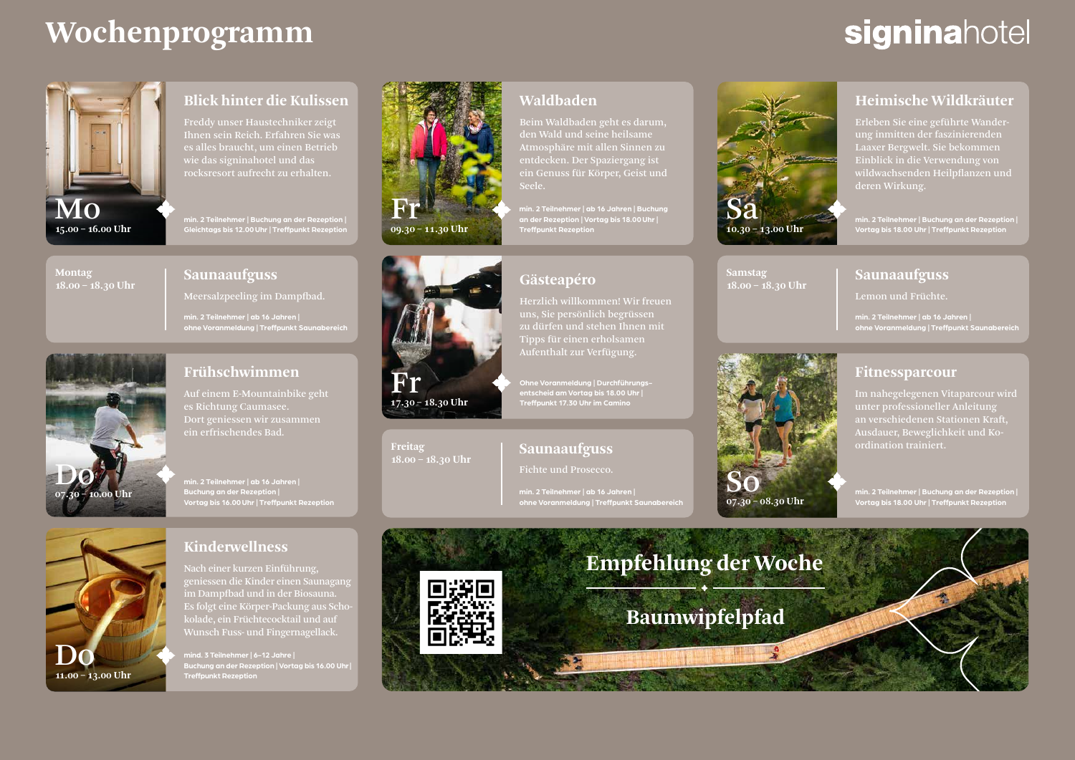# **Wochenprogramm**

# signinahotel

**Heimische Wildkräuter**  Erleben Sie eine geführte Wanderung inmitten der faszinierenden

Einblick in die Verwendung von wildwachsenden Heilpflanzen und



### **Blick hinter die Kulissen**

Freddy unser Haustechniker zeigt Ihnen sein Reich. Erfahren Sie was es alles braucht, um einen Betrieb wie das signinahotel und das rocksresort aufrecht zu erhalten.

**min. 2 Teilnehmer | Buchung an der Rezeption | Gleichtags bis 12.00Uhr | Treffpunkt Rezeption**



#### **Saunaaufguss**

**min. 2 Teilnehmer | ab 16 Jahren | ohne Voranmeldung | Treffpunkt Saunabereich**



### **Frühschwimmen**

Auf einem E-Mountainbike geht es Richtung Caumasee. Dort geniessen wir zusammen ein erfrischendes Bad.

**Buchung an der Rezeption | Vortag bis 16.00Uhr | Treffpunkt Rezeption**



### **Kinderwellness**

Nach einer kurzen Einführung, geniessen die Kinder einen Saunagang im Dampfbad und in der Biosauna. Es folgt eine Körper-Packung aus Schokolade, ein Früchtecocktail und auf Wunsch Fuss- und Fingernagellack.

**mind. 3 Teilnehmer | 6-12 Jahre | Buchung an der Rezeption | Vortag bis 16.00 Uhr| Treffpunkt Rezeption** 



Fr **17.30 – 18.30 Uhr**

**18.00 – 18.30 Uhr**

**Freitag**

# **Waldbaden**

Beim Waldbaden geht es darum, den Wald und seine heilsame Atmosphäre mit allen Sinnen zu entdecken. Der Spaziergang ist ein Genuss für Körper, Geist und

**min. 2 Teilnehmer | ab 16 Jahren | Buchung Treffpunkt Rezeption 10.30 – 13.00 Uhr**

## **Gästeapéro**

Herzlich willkommen! Wir freuen uns, Sie persönlich begrüssen zu dürfen und stehen Ihnen mit Tipps für einen erholsamen Aufenthalt zur Verfügung.

**Ohne Voranmeldung | Durchführungsentscheid am Vortag bis 18.00 Uhr | Treffpunkt 17.30 Uhr im Camino**

### **Saunaaufguss** Fichte und Prosecco.

**ohne Voranmeldung | Treffpunkt Saunabereich**



**Samstag 18.00 – 18.30 Uhr**



# **Vortag bis 18.00 Uhr | Treffpunkt Rezeption**

#### **Saunaaufguss**

Lemon und Früchte.

**min. 2 Teilnehmer | ab 16 Jahren | ohne Voranmeldung | Treffpunkt Saunabereich**

### **Fitnessparcour**

unter professioneller Anleitung an verschiedenen Stationen Kraft, Ausdauer, Beweglichkeit und Koordination trainiert.

**Vortag bis 18.00 Uhr | Treffpunkt Rezeption**